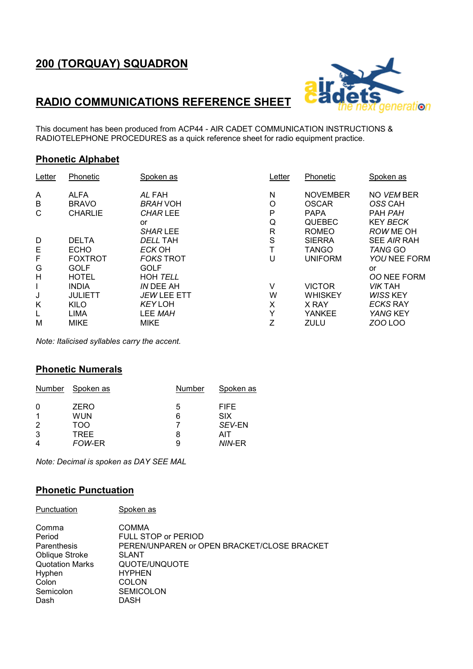# 200 (TORQUAY) SQUADRON



### RADIO COMMUNICATIONS REFERENCE SHEET

This document has been produced from ACP44 - AIR CADET COMMUNICATION INSTRUCTIONS & RADIOTELEPHONE PROCEDURES as a quick reference sheet for radio equipment practice.

#### Phonetic Alphabet

| Letter | Phonetic       | Spoken as        | Letter       | Phonetic        | Spoken as          |
|--------|----------------|------------------|--------------|-----------------|--------------------|
| A      | <b>ALFA</b>    | AL FAH           | N            | <b>NOVEMBER</b> | NO VEM BER         |
| B      | <b>BRAVO</b>   | <b>BRAH VOH</b>  | O            | <b>OSCAR</b>    | OSS CAH            |
| C      | <b>CHARLIE</b> | CHAR LEE         | P            | <b>PAPA</b>     | PAH PAH            |
|        |                | or               | Q            | <b>QUEBEC</b>   | <b>KEY BECK</b>    |
|        |                | <b>SHAR LEE</b>  | $\mathsf{R}$ | <b>ROMEO</b>    | ROW ME OH          |
| D      | <b>DELTA</b>   | DELL TAH         | S            | <b>SIERRA</b>   | SEE AIR RAH        |
| E      | <b>ECHO</b>    | ECK OH           | Т            | <b>TANGO</b>    | <b>TANG GO</b>     |
| F      | <b>FOXTROT</b> | <b>FOKS TROT</b> | U            | <b>UNIFORM</b>  | YOU NEE FORM       |
| G      | <b>GOLF</b>    | <b>GOLF</b>      |              |                 | or                 |
| Η      | <b>HOTEL</b>   | <b>HOH TELL</b>  |              |                 | <b>OO NEE FORM</b> |
| L      | <b>INDIA</b>   | IN DEE AH        | V            | <b>VICTOR</b>   | <b>VIK TAH</b>     |
| J      | <b>JULIETT</b> | JEW LEE ETT      | W            | <b>WHISKEY</b>  | <b>WISS KEY</b>    |
| Κ      | KILO           | <b>KEY LOH</b>   | X            | X RAY           | <b>ECKS RAY</b>    |
| L      | <b>LIMA</b>    | LEE MAH          | $\check{ }$  | <b>YANKEE</b>   | YANG KEY           |
| M      | <b>MIKE</b>    | <b>MIKE</b>      | Z            | <b>ZULU</b>     | <b>ZOO LOO</b>     |

Note: Italicised syllables carry the accent.

#### Phonetic Numerals

| Number         | Spoken as | Number | Spoken as   |
|----------------|-----------|--------|-------------|
| 0              | ZERO      | 5      | <b>FIFE</b> |
| 1              | WUN       | 6      | <b>SIX</b>  |
| $\overline{2}$ | TOO       |        | SEV-EN      |
| 3              | TRFF      | 8      | AIT         |
| 4              | FOW-ER    | 9      | NIN-ER      |

Note: Decimal is spoken as DAY SEE MAL

### Phonetic Punctuation

| Punctuation                                                                                                               | Spoken as                                                                                                                                                                 |
|---------------------------------------------------------------------------------------------------------------------------|---------------------------------------------------------------------------------------------------------------------------------------------------------------------------|
| Comma<br>Period<br>Parenthesis<br><b>Oblique Stroke</b><br><b>Quotation Marks</b><br>Hyphen<br>Colon<br>Semicolon<br>Dash | COMMA<br><b>FULL STOP or PERIOD</b><br>PEREN/UNPAREN or OPEN BRACKET/CLOSE BRACKET<br><b>SLANT</b><br>QUOTE/UNQUOTE<br><b>HYPHEN</b><br>COLON<br><b>SEMICOLON</b><br>DASH |
|                                                                                                                           |                                                                                                                                                                           |